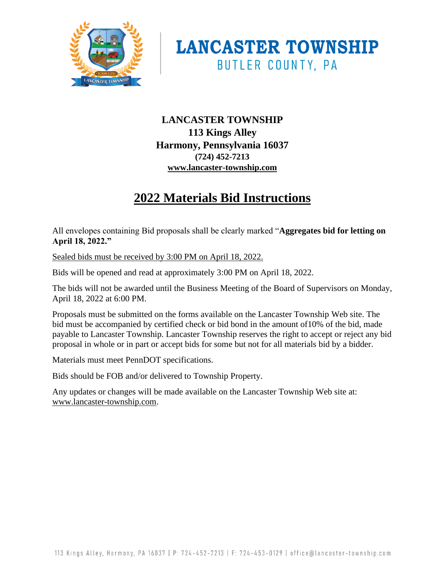



# **LANCASTER TOWNSHIP 113 Kings Alley Harmony, Pennsylvania 16037 (724) 452-7213 www.lancaster-township.com**

# **2022 Materials Bid Instructions**

All envelopes containing Bid proposals shall be clearly marked "**Aggregates bid for letting on April 18, 2022."** 

Sealed bids must be received by 3:00 PM on April 18, 2022.

Bids will be opened and read at approximately 3:00 PM on April 18, 2022.

The bids will not be awarded until the Business Meeting of the Board of Supervisors on Monday, April 18, 2022 at 6:00 PM.

Proposals must be submitted on the forms available on the Lancaster Township Web site. The bid must be accompanied by certified check or bid bond in the amount of10% of the bid, made payable to Lancaster Township. Lancaster Township reserves the right to accept or reject any bid proposal in whole or in part or accept bids for some but not for all materials bid by a bidder.

Materials must meet PennDOT specifications.

Bids should be FOB and/or delivered to Township Property.

Any updates or changes will be made available on the Lancaster Township Web site at: www.lancaster-township.com.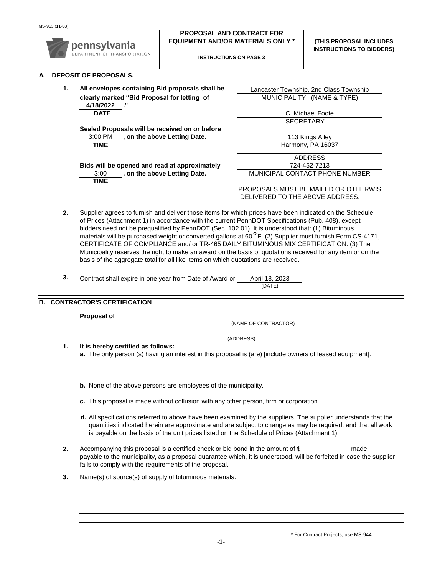

- **2.** Supplier agrees to furnish and deliver those items for which prices have been indicated on the Schedule of Prices (Attachment 1) in accordance with the current PennDOT Specifications (Pub. 408), except bidders need not be prequalified by PennDOT (Sec. 102.01). It is understood that: (1) Bituminous materials will be purchased weight or converted gallons at 60<sup>°</sup>F. (2) Supplier must furnish Form CS-4171, CERTIFICATE OF COMPLIANCE and/ or TR-465 DAILY BITUMINOUS MIX CERTIFICATION. (3) The Municipality reserves the right to make an award on the basis of quotations received for any item or on the basis of the aggregate total for all like items on which quotations are received.
- **3.** Contract shall expire in one year from Date of Award or . April 18, 2023

(DATE)

### **B. CONTRACTOR'S CERTIFICATION**

|  | Proposal of                                                                                                                                                                                                                                                                                                                  |  |  |  |  |  |
|--|------------------------------------------------------------------------------------------------------------------------------------------------------------------------------------------------------------------------------------------------------------------------------------------------------------------------------|--|--|--|--|--|
|  | (NAME OF CONTRACTOR)<br>(ADDRESS)                                                                                                                                                                                                                                                                                            |  |  |  |  |  |
|  |                                                                                                                                                                                                                                                                                                                              |  |  |  |  |  |
|  | It is hereby certified as follows:                                                                                                                                                                                                                                                                                           |  |  |  |  |  |
|  | a. The only person (s) having an interest in this proposal is (are) [include owners of leased equipment]:                                                                                                                                                                                                                    |  |  |  |  |  |
|  |                                                                                                                                                                                                                                                                                                                              |  |  |  |  |  |
|  | <b>b.</b> None of the above persons are employees of the municipality.                                                                                                                                                                                                                                                       |  |  |  |  |  |
|  | c. This proposal is made without collusion with any other person, firm or corporation.                                                                                                                                                                                                                                       |  |  |  |  |  |
|  | d. All specifications referred to above have been examined by the suppliers. The supplier understands that the<br>quantities indicated herein are approximate and are subject to change as may be required; and that all work<br>is payable on the basis of the unit prices listed on the Schedule of Prices (Attachment 1). |  |  |  |  |  |
|  | Accompanying this proposal is a certified check or bid bond in the amount of \$<br>made<br>payable to the municipality, as a proposal guarantee which, it is understood, will be forfeited in case the supplier<br>fails to comply with the requirements of the proposal.                                                    |  |  |  |  |  |

**3.** Name(s) of source(s) of supply of bituminous materials.

\* For Contract Projects, use MS-944.

**-1-**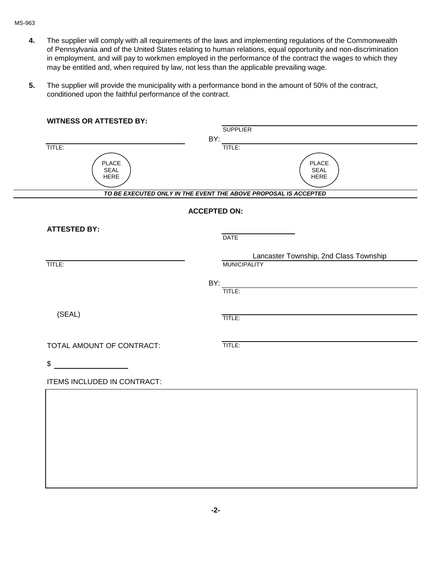#### MS-963

- **4.** The supplier will comply with all requirements of the laws and implementing regulations of the Commonwealth of Pennsylvania and of the United States relating to human relations, equal opportunity and non-discrimination in employment, and will pay to workmen employed in the performance of the contract the wages to which they may be entitled and, when required by law, not less than the applicable prevailing wage.
- **5.** The supplier will provide the municipality with a performance bond in the amount of 50% of the contract, conditioned upon the faithful performance of the contract.

| <b>WITNESS OR ATTESTED BY:</b> |                                                                 |
|--------------------------------|-----------------------------------------------------------------|
|                                | <b>SUPPLIER</b>                                                 |
|                                | BY:                                                             |
| TITLE:                         | TITLE:                                                          |
| <b>PLACE</b>                   | PLACE                                                           |
| SEAL<br><b>HERE</b>            | SEAL<br>HERE                                                    |
|                                |                                                                 |
|                                | TO BE EXECUTED ONLY IN THE EVENT THE ABOVE PROPOSAL IS ACCEPTED |
|                                | <b>ACCEPTED ON:</b>                                             |
|                                |                                                                 |
| <b>ATTESTED BY:</b>            | <b>DATE</b>                                                     |
|                                |                                                                 |
|                                | Lancaster Township, 2nd Class Township                          |
| TITLE:                         | <b>MUNICIPALITY</b>                                             |
|                                | BY:                                                             |
|                                | TITLE:                                                          |
|                                |                                                                 |
| (SEAL)                         | TITLE:                                                          |
|                                |                                                                 |
|                                |                                                                 |
| TOTAL AMOUNT OF CONTRACT:      | TITLE:                                                          |
| \$                             |                                                                 |
|                                |                                                                 |
| ITEMS INCLUDED IN CONTRACT:    |                                                                 |
|                                |                                                                 |
|                                |                                                                 |
|                                |                                                                 |
|                                |                                                                 |
|                                |                                                                 |
|                                |                                                                 |
|                                |                                                                 |
|                                |                                                                 |
|                                |                                                                 |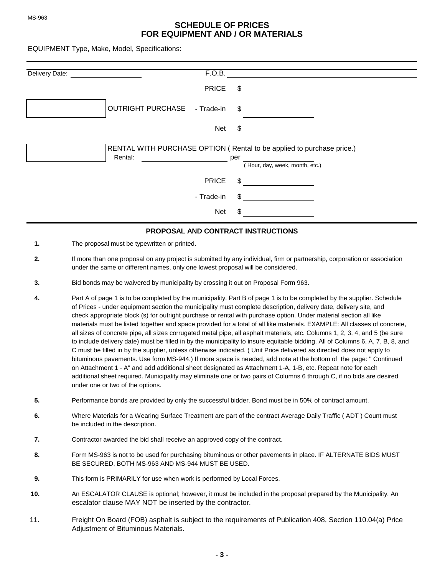#### **SCHEDULE OF PRICES FOR EQUIPMENT AND / OR MATERIALS**

EQUIPMENT Type, Make, Model, Specifications:

| Delivery Date: | F.O.B.                                 |                                                                                                                |
|----------------|----------------------------------------|----------------------------------------------------------------------------------------------------------------|
|                | <b>PRICE</b>                           | \$                                                                                                             |
|                | <b>OUTRIGHT PURCHASE</b><br>- Trade-in | \$                                                                                                             |
|                | Net                                    | \$                                                                                                             |
|                | Rental:                                | RENTAL WITH PURCHASE OPTION (Rental to be applied to purchase price.)<br>per<br>(Hour, day, week, month, etc.) |
|                | <b>PRICE</b>                           | \$                                                                                                             |
|                | - Trade-in                             | \$                                                                                                             |
|                | <b>Net</b>                             | \$.                                                                                                            |

#### **PROPOSAL AND CONTRACT INSTRUCTIONS**

- **1.** The proposal must be typewritten or printed.
- **2.** If more than one proposal on any project is submitted by any individual, firm or partnership, corporation or association under the same or different names, only one lowest proposal will be considered.
- **3.** Bid bonds may be waivered by municipality by crossing it out on Proposal Form 963.
- **4.** Part A of page 1 is to be completed by the municipality. Part B of page 1 is to be completed by the supplier. Schedule of Prices - under equipment section the municipality must complete description, delivery date, delivery site, and check appropriate block (s) for outright purchase or rental with purchase option. Under material section all like materials must be listed together and space provided for a total of all like materials. EXAMPLE: All classes of concrete, all sizes of concrete pipe, all sizes corrugated metal pipe, all asphalt materials, etc. Columns 1, 2, 3, 4, and 5 (be sure to include delivery date) must be filled in by the municipality to insure equitable bidding. All of Columns 6, A, 7, B, 8, and C must be filled in by the supplier, unless otherwise indicated. ( Unit Price delivered as directed does not apply to bituminous pavements. Use form MS-944.) If more space is needed, add note at the bottom of the page: " Continued on Attachment 1 - A" and add additional sheet designated as Attachment 1-A, 1-B, etc. Repeat note for each additional sheet required. Municipality may eliminate one or two pairs of Columns 6 through C, if no bids are desired under one or two of the options.
- **5.** Performance bonds are provided by only the successful bidder. Bond must be in 50% of contract amount.
- **6.** Where Materials for a Wearing Surface Treatment are part of the contract Average Daily Traffic ( ADT ) Count must be included in the description.
- **7.** Contractor awarded the bid shall receive an approved copy of the contract.
- **8.** Form MS-963 is not to be used for purchasing bituminous or other pavements in place. IF ALTERNATE BIDS MUST BE SECURED, BOTH MS-963 AND MS-944 MUST BE USED.
- **9.** This form is PRIMARILY for use when work is performed by Local Forces.
- **10.** An ESCALATOR CLAUSE is optional; however, it must be included in the proposal prepared by the Municipality. An escalator clause MAY NOT be inserted by the contractor.
- 11. Freight On Board (FOB) asphalt is subject to the requirements of Publication 408, Section 110.04(a) Price Adjustment of Bituminous Materials.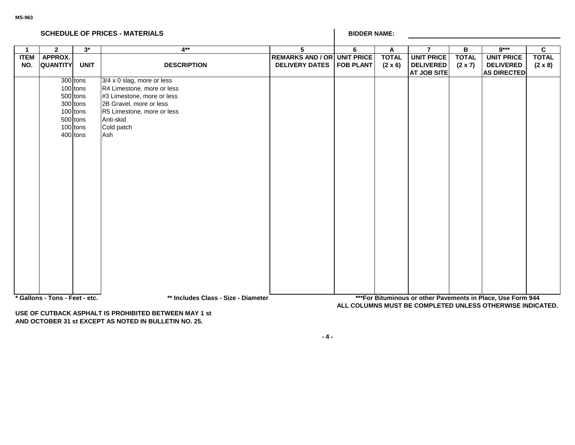|                    | <b>SCHEDULE OF PRICES - MATERIALS</b> |                                                                                              |                                                                                                                                                                                   |                                                             | <b>BIDDER NAME:</b> |                                |                                                             |                                |                                                                                                                           |                                |
|--------------------|---------------------------------------|----------------------------------------------------------------------------------------------|-----------------------------------------------------------------------------------------------------------------------------------------------------------------------------------|-------------------------------------------------------------|---------------------|--------------------------------|-------------------------------------------------------------|--------------------------------|---------------------------------------------------------------------------------------------------------------------------|--------------------------------|
| -1                 | $\mathbf{2}$                          | $3^*$                                                                                        | $4**$                                                                                                                                                                             | 5                                                           | 6                   | A                              | $\overline{7}$                                              | В                              | $8***$                                                                                                                    | C                              |
| <b>ITEM</b><br>NO. | APPROX.<br><b>QUANTITY</b>            | <b>UNIT</b>                                                                                  | <b>DESCRIPTION</b>                                                                                                                                                                | <b>REMARKS AND / OR UNIT PRICE</b><br><b>DELIVERY DATES</b> | <b>FOB PLANT</b>    | <b>TOTAL</b><br>$(2 \times 6)$ | <b>UNIT PRICE</b><br><b>DELIVERED</b><br><b>AT JOB SITE</b> | <b>TOTAL</b><br>$(2 \times 7)$ | <b>UNIT PRICE</b><br><b>DELIVERED</b><br><b>AS DIRECTED</b>                                                               | <b>TOTAL</b><br>$(2 \times 8)$ |
|                    |                                       | 300 tons<br>100 tons<br>500 tons<br>300 tons<br>100 tons<br>500 tons<br>100 tons<br>400 tons | 3/4 x 0 slag, more or less<br>R4 Limestone, more or less<br>#3 Limestone, more or less<br>2B Gravel, more or less<br>R5 Limestone, more or less<br>Anti-skid<br>Cold patch<br>Ash |                                                             |                     |                                |                                                             |                                |                                                                                                                           |                                |
|                    | * Gallons - Tons - Feet - etc.        |                                                                                              | ** Includes Class - Size - Diameter<br>LICE OF CUTRACK ACRUALT IC RROUDITER RETAILEN MAY 4 -4                                                                                     |                                                             |                     |                                |                                                             |                                | *** For Bituminous or other Pavements in Place, Use Form 944<br>ALL COLUMNS MUST BE COMPLETED UNLESS OTHERWISE INDICATED. |                                |

**USE OF CUTBACK ASPHALT IS PROHIBITED BETWEEN MAY 1 st AND OCTOBER 31 st EXCEPT AS NOTED IN BULLETIN NO. 25.**

**- 4 -**